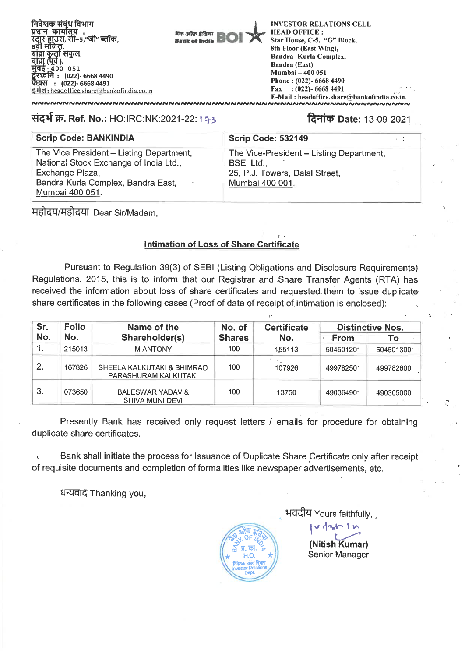**Ban anive African Bank of India** 

**INVESTOR RELATIONS CELL HEAD OFFICE : Star House, C-5, "G" Block, 8th Floor (East Wing), Bandra- Kurla Complex, Bandra (East) Mumbai — 400 051 Phone : (022)- 6668 4490 Fax : (022)- 6668 4491 E-Mail : headoffice.share@bankofindia.co.in.** 

# संदर्भ क्र. Ref. No.: HO:IRC:NK:2021-22: 1 33 Ref. 2010 **1 2: 13-09-2021** Rate: 13-09-2021

NNNNNNNNNNNNNNNNNNNNNNNNNNNNNNNNNNNN

| <b>Scrip Code: BANKINDIA</b>                                                                                                                                   | <b>Scrip Code: 532149</b>                                                                                  |  |
|----------------------------------------------------------------------------------------------------------------------------------------------------------------|------------------------------------------------------------------------------------------------------------|--|
| The Vice President - Listing Department,<br>National Stock Exchange of India Ltd.,<br>Exchange Plaza,<br>Bandra Kurla Complex, Bandra East,<br>Mumbai 400 051. | The Vice-President - Listing Department,<br>BSE Ltd.,<br>25, P.J. Towers, Dalal Street,<br>Mumbai 400 001. |  |

महोदय/महोदया Dear Sir/Madam,

# **Intimation of Loss of Share Certificate**

**Pursuant to** Regulation 39(3) of SEBI (Listing Obligations and Disclosure Requirements) Regulations, 2015, this is to inform that our Registrar and Share Transfer Agents (RTA) has received the information about loss of share certificates and requested.them to issue duplicate share certificates in the following cases (Proof of date of receipt of intimation is enclosed):

| Sr.              | <b>Folio</b><br>Name of the |                                                       | No. of | <b>Certificate</b> | <b>Distinctive Nos.</b> |           |  |
|------------------|-----------------------------|-------------------------------------------------------|--------|--------------------|-------------------------|-----------|--|
| No.              | No.                         | Shareholder(s)                                        |        | No.                | √From                   | Τo        |  |
|                  | 215013                      | <b>MANTONY</b>                                        | 100    | 155113             | 504501201               | 504501300 |  |
| $\overline{2}$ . | 167826                      | SHEELA KALKUTAKI & BHIMRAO<br>PARASHURAM KALKUTAKI    | 100    | 107926             | 499782501               | 499782600 |  |
| 3 <sub>1</sub>   | 073650                      | <b>BALESWAR YADAV &amp;</b><br><b>SHIVA MUNI DEVI</b> | 100    | 13750              | 490364901               | 490365000 |  |

Presently Bank has received only request letters / emails for procedure for obtaining duplicate share certificates.

Bank shall initiate the process for Issuance of Duplicate Share Certificate only after receipt of requisite documents and completion of formalities like newspaper advertisements, etc.

धन्यवाद Thanking you,



भवदीय Yours faithfully,

1 m **(Nitish Kumar)**  Senior Manager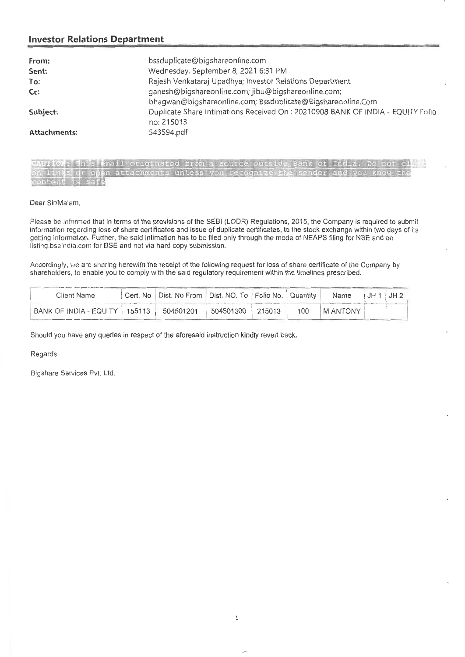## **Investor Relations Department**

| From:               | bssduplicate@bigshareonline.com                                                               |
|---------------------|-----------------------------------------------------------------------------------------------|
| Sent:               | Wednesday, September 8, 2021 6:31 PM                                                          |
| To:                 | Rajesh Venkataraj Upadhya; Investor Relations Department                                      |
| Cc:                 | ganesh@bigshareonline.com; jibu@bigshareonline.com;                                           |
|                     | bhagwan@bigshareonline.com; Bssduplicate@Bigshareonline.Com                                   |
| Subject:            | Duplicate Share Intimations Received On : 20210908 BANK OF INDIA - EQUITY Folio<br>no: 215013 |
| <b>Attachments:</b> | 543594.pdf                                                                                    |

| CAUTION: This email originated from a source outside Bank of India. Do not client |  |  |  |  |
|-----------------------------------------------------------------------------------|--|--|--|--|
| on links or open attachments unless you recognize the sender and you know the     |  |  |  |  |
| content is safe                                                                   |  |  |  |  |

Dear Sir/Ma'am,

Please be informed that in terms of the provisions of the SEBI (LODR) Regulations, 2015, the Company is required to submit information regarding loss of share certificates and issue of duplicate certificates, to the stock exchange within two days of its getting information. Further, the said intimation has to be filed only through the mode of NEAPS filing for NSE and on listing.bseindia.com for BSE and not via hard copy submission.

Accordingly, we are sharing herewith the receipt of the following request for loss of share certificate of the Company by shareholders, to enable you to comply with the said regulatory requirement within the timelines prescribed.

| Client Name                |        | Cert. No   Dist. No From   Dist. NO. To   Folio No.   Quantity |           |        |     | Name           | ™JH 1 ï. | JH2 |
|----------------------------|--------|----------------------------------------------------------------|-----------|--------|-----|----------------|----------|-----|
| I BANK OF INDIA - EQUITY 1 | 155113 | 504501201                                                      | 504501300 | 215013 | 100 | <b>MANTONY</b> |          |     |

Should you have any queries in respect of the aforesaid instruction kindly revert back.

Regards,

Bigshare Services Pvt. Ltd.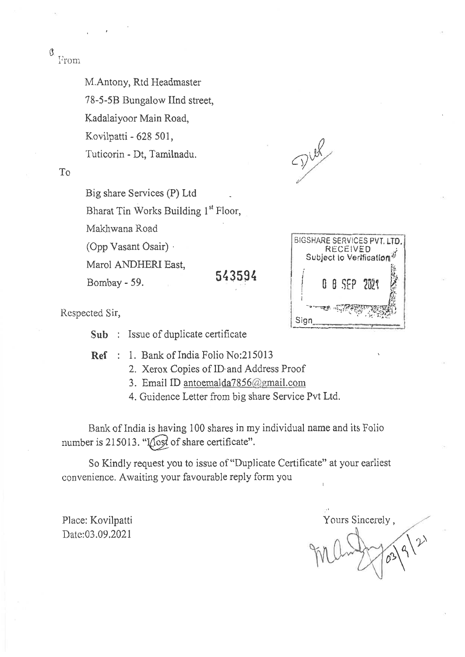$\mathfrak{g}$ From

M.Antony, Rtd Headmaster

78-5-5B Bungalow IInd street,

Kadalaiyoor Main Road,

Kovilpatti - 628 501,

Tuticorin - Dt, Tamilnadu.

To

Big share Services (P) Ltd

Bharat Tin Works Building 1<sup>st</sup> Floor,

Makhwana Road

(Opp Vasant Osair) •

Marol ANDHERI East,

Bombay - 59. **543594** 

 $\mathcal{D}^{\text{uk}}$ 



BIGSHARE SERVICES PVT. LTD.<br>BIGSHARE SECEIVED Subject to Verification

Respected Sir,

**Sub :** Issue of duplicate certificate

**Ref : 1.** Bank of India Folio No:215013

2. Xerox Copies of ID. and Address Proof

3. Email ID antoemalda7856(a'gmail.com

4. Guidence Letter from big share Service Pvt Ltd.

Bank of India is having 100 shares in my individual name and its Folio number is 215013. " $\sqrt{\frac{1}{10}}$  of share certificate".

So Kindly request you to issue of "Duplicate Certificate" at your earliest convenience. Awaiting your favourable reply form you

Place: Kovilpatti Date:03.09.2021

Yours Sincerely ,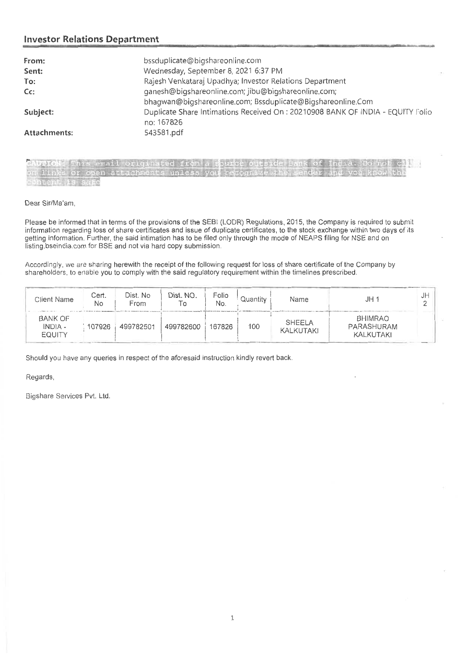### **Investor Relations Department**

| From:<br>Sent: | bssduplicate@bigshareonline.com<br>Wednesday, September 8, 2021 6:37 PM                       |
|----------------|-----------------------------------------------------------------------------------------------|
| To:            | Rajesh Venkataraj Upadhya; Investor Relations Department                                      |
| $Cc$ :         | ganesh@bigshareonline.com; jibu@bigshareonline.com;                                           |
|                | bhagwan@bigshareonline.com; Bssduplicate@Bigshareonline.Com                                   |
| Subject:       | Duplicate Share Intimations Received On : 20210908 BANK OF INDIA - EQUITY Folio<br>no: 167826 |
| Attachments:   | 543581.pdf                                                                                    |

| CAUTION: This email originated from a source outside Bank of India. Do not cli |  |
|--------------------------------------------------------------------------------|--|
| on links or open attachments unless you recognize the sender and you know the  |  |
| content is safe<br>and the same way at the control of the control of the con-  |  |

#### Dear Sir/Ma'am,

Please be informed that in terms of the provisions of the SEBI (LODR) Regulations, 2015, the Company is required to submit information regarding loss of share certificates and issue of duplicate certificates, to the stock exchange within two days of its getting information. Further, the said intimation has to be filed only through the mode of NEAPS filing for NSE and on listing.bseindia.com for BSE and not via hard copy submission.

Accordingly, we are sharing herewith the receipt of the following request for loss of share certificate of the Company by shareholders, to enable you to comply with the said regulatory requirement within the timelines prescribed.

| Client Name                         | Cert.<br>No | Dist. No<br>From | Dist. NO.<br>Τo | Folio<br>No. | Quantity | Name                       | JH                                        | J⊬ |
|-------------------------------------|-------------|------------------|-----------------|--------------|----------|----------------------------|-------------------------------------------|----|
| <b>BANK OF</b><br>INDIA -<br>EQUITY | 107926      | 499782501        | 499782600       | 167826       | 100      | <b>SHEELA</b><br>KALKUTAKI | <b>BHIMRAO</b><br>PARASHURAM<br>KALKUTAKI |    |

Should you have any queries in respect of the aforesaid instruction kindly revert back.

Regards,

Bigshare Services Pvt. Ltd.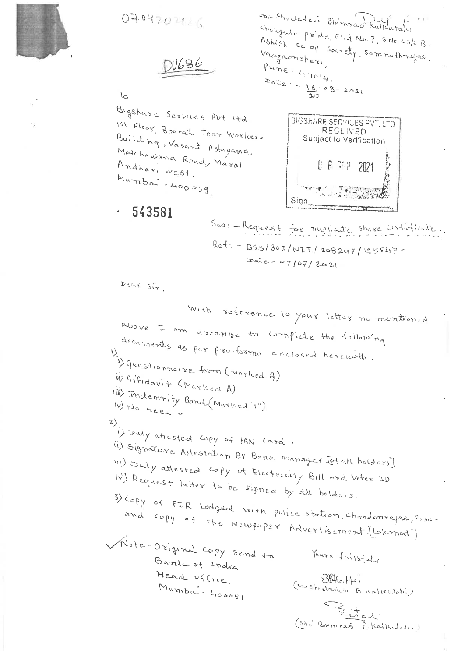

0709702126

N686

 $T_{\circlearrowright}$ 

Bigshare Services PV+ Ltd 1st Floor, Bharat Teen Wookers Building, Vasant Ashiyana, Malchawana Roady Marol Andheri West. Mumbai - 400059

Sou Shecladevi Bhimrao Kalkutaki changine priore, Flat No. 7, S.No 43/6 B Ashish co op society, som nadhnagaa, Vadgaonsher,  $Pu\overset{d}{\wedge}e - 4\eta\alpha_1\zeta_1$  $\text{Data} := \frac{13}{4} = 8 = 2021$ 

BIGSHARE SERVICES PVT. LTD. RECEIVED Subject to Verification 0 8 552 2021 Sign

Sub: - Request for surplicate share contribute.  $Ref: - B5S/B0I/NIT/208247/195547$  $\text{Date} = 07/07/2021$ 

Dear Sir,

543581

With reference to your letter normention of above I am arrange to complete the following documents as par probama enclosed herewith. 1) questionnaire form (Marked 9) WAffidavit (Marked A) 118) Indemnity Bond (Marked"1") (y) No need -2) is Duly attested Copy of PAN Card. ii) Signature Attestation BY Bank Manager Jotal holders] (ii) Duly attested copy of Electricity Bill and Voter ID iv) Request letter to be signed by all holders. 3) Copy of FIR Lodged with police station, chondomnagha, funcand copy of the Newpaper Advertisement [ [ lolcmat] Wote-Original Copy Send to Yours faithfuly Bande of India Head office, (Soushedades Blattewate) Mumbai- 400051 Betal (Shr Bhimmo P. Kalkutaki)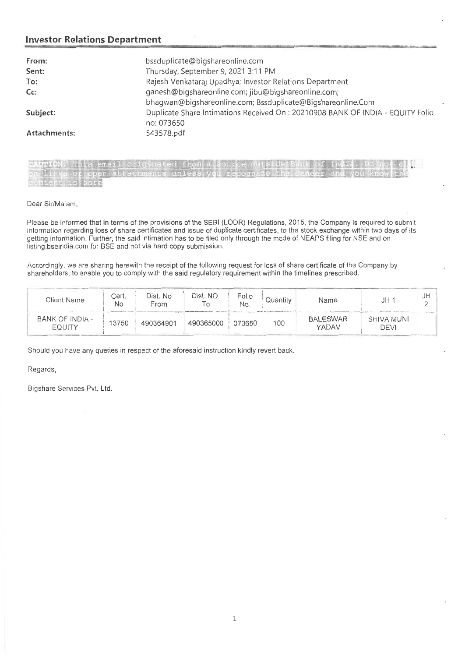#### **Investor Relations Department**

| From:               | bssduplicate@bigshareonline.com                                                              |
|---------------------|----------------------------------------------------------------------------------------------|
| Sent:               | Thursday, September 9, 2021 3:11 PM                                                          |
| To:                 | Rajesh Venkataraj Upadhya; Investor Relations Department                                     |
| $Cc$ :              | ganesh@bigshareonline.com; jibu@bigshareonline.com;                                          |
|                     | bhagwan@bigshareonline.com; Bssduplicate@Bigshareonline.Com                                  |
| Subject:            | Duplicate Share Intimations Received On: 20210908 BANK OF INDIA - EQUITY Folio<br>no: 073650 |
| <b>Attachments:</b> | 543578.pdf                                                                                   |

| CAUTION: This email originated from a source outside Bank of India. Do not cle                                                                                                                                                                                                                                    |  |
|-------------------------------------------------------------------------------------------------------------------------------------------------------------------------------------------------------------------------------------------------------------------------------------------------------------------|--|
| on links of open attachments unless you recognize the sender and you know<br><u>Except of the second company of the second control of the second company of the second company of the second company of the second company of the second company of the second company of the second company of the second co</u> |  |
| content is safe<br>the first conditions of the first of the character the stage trade                                                                                                                                                                                                                             |  |

Dear Sir/Ma'am,

Please be informed that in terms of the provisions of the SEBI (LODR) Regulations, 2015, the Company is required to submit information regarding loss of share certificates and issue of duplicate certificates, to the stock exchange within two days of its getting information. Further, the said intimation has to be filed only through the mode of NEAPS filing for NSE and on listing.bseindia.com for BSE and not via hard copy submission.

Accordingly, we are sharing herewith the receipt of the following request for loss of share certificate of the Company by shareholders, to enable you to comply with the said regulatory requirement within the timelines prescribed.

| Client Name               | Cert.<br>No | Dist. No<br>From | Dist. NO. | Folio<br>No. | Quantity | Name                     | JH 1               | JH |
|---------------------------|-------------|------------------|-----------|--------------|----------|--------------------------|--------------------|----|
| BANK OF INDIA -<br>EOUITY | 13750       | 490364901        | 490365000 | 073650       | 100      | <b>BALESWAR</b><br>YADAV | SHIVA MUNI<br>DEVI |    |

Should you have any queries in respect of the aforesaid instruction kindly revert back.

Regards,

Bigshare Services Pvt. Ltd.